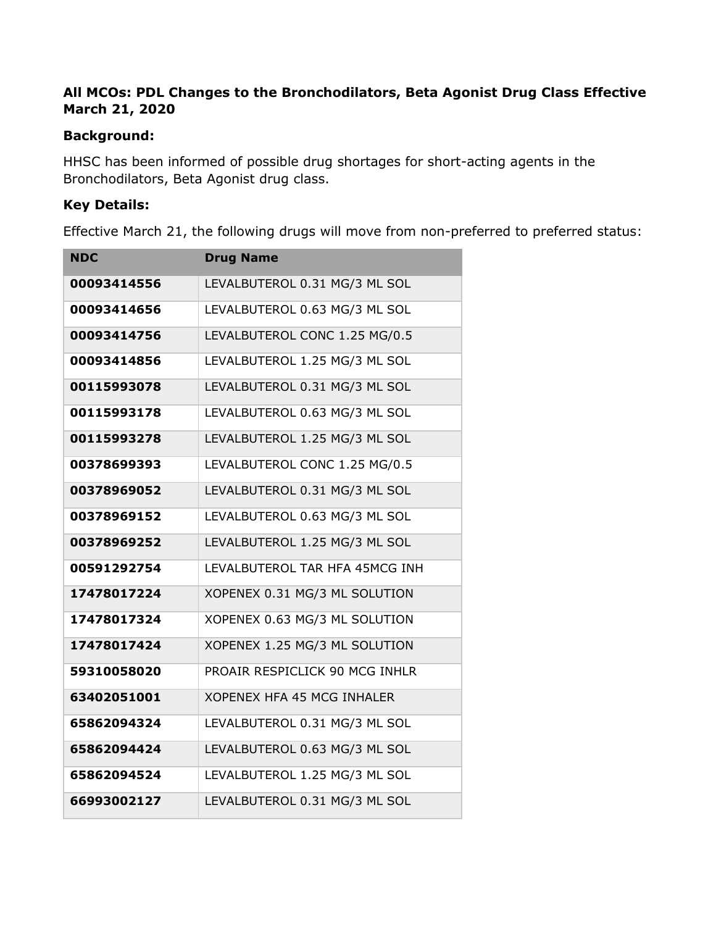# **All MCOs: PDL Changes to the Bronchodilators, Beta Agonist Drug Class Effective March 21, 2020**

### **Background:**

HHSC has been informed of possible drug shortages for short-acting agents in the Bronchodilators, Beta Agonist drug class.

#### **Key Details:**

Effective March 21, the following drugs will move from non-preferred to preferred status:

| <b>NDC</b>  | <b>Drug Name</b>               |
|-------------|--------------------------------|
| 00093414556 | LEVALBUTEROL 0.31 MG/3 ML SOL  |
| 00093414656 | LEVALBUTEROL 0.63 MG/3 ML SOL  |
| 00093414756 | LEVALBUTEROL CONC 1.25 MG/0.5  |
| 00093414856 | LEVALBUTEROL 1.25 MG/3 ML SOL  |
| 00115993078 | LEVALBUTEROL 0.31 MG/3 ML SOL  |
| 00115993178 | LEVALBUTEROL 0.63 MG/3 ML SOL  |
| 00115993278 | LEVALBUTEROL 1.25 MG/3 ML SOL  |
| 00378699393 | LEVALBUTEROL CONC 1.25 MG/0.5  |
| 00378969052 | LEVALBUTEROL 0.31 MG/3 ML SOL  |
| 00378969152 | LEVALBUTEROL 0.63 MG/3 ML SOL  |
| 00378969252 | LEVALBUTEROL 1.25 MG/3 ML SOL  |
| 00591292754 | LEVALBUTEROL TAR HFA 45MCG INH |
| 17478017224 | XOPENEX 0.31 MG/3 ML SOLUTION  |
| 17478017324 | XOPENEX 0.63 MG/3 ML SOLUTION  |
| 17478017424 | XOPENEX 1.25 MG/3 ML SOLUTION  |
| 59310058020 | PROAIR RESPICLICK 90 MCG INHLR |
| 63402051001 | XOPENEX HFA 45 MCG INHALER     |
| 65862094324 | LEVALBUTEROL 0.31 MG/3 ML SOL  |
| 65862094424 | LEVALBUTEROL 0.63 MG/3 ML SOL  |
| 65862094524 | LEVALBUTEROL 1.25 MG/3 ML SOL  |
| 66993002127 | LEVALBUTEROL 0.31 MG/3 ML SOL  |